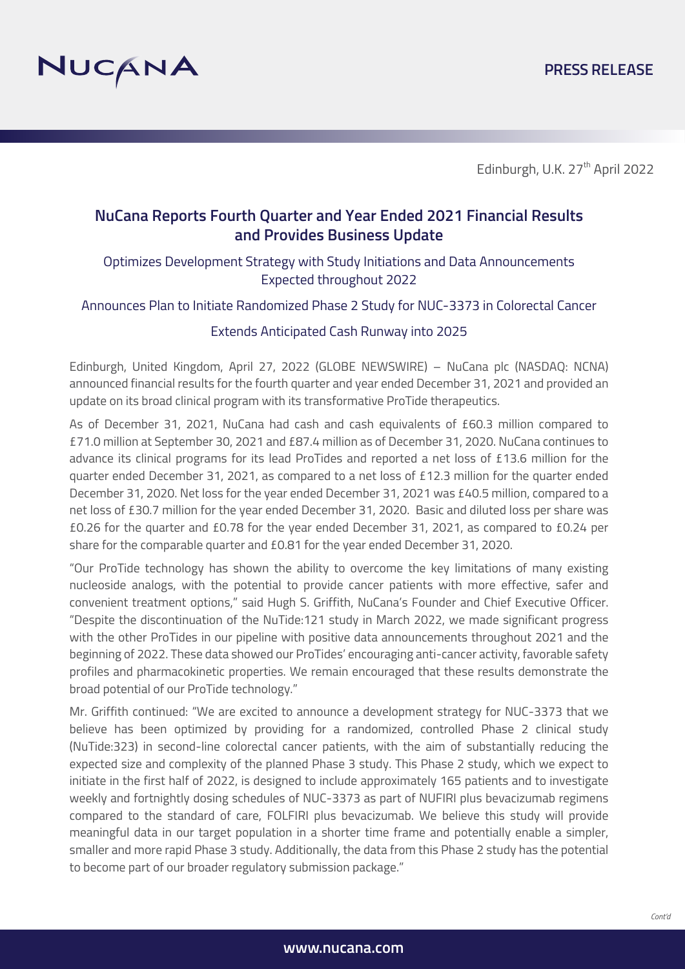

## **NuCana Reports Fourth Quarter and Year Ended 2021 Financial Results and Provides Business Update**

## Optimizes Development Strategy with Study Initiations and Data Announcements Expected throughout 2022

Announces Plan to Initiate Randomized Phase 2 Study for NUC-3373 in Colorectal Cancer

#### Extends Anticipated Cash Runway into 2025

Edinburgh, United Kingdom, April 27, 2022 (GLOBE NEWSWIRE) – NuCana plc (NASDAQ: NCNA) announced financial results for the fourth quarter and year ended December 31, 2021 and provided an update on its broad clinical program with its transformative ProTide therapeutics.

As of December 31, 2021, NuCana had cash and cash equivalents of £60.3 million compared to £71.0 million at September 30, 2021 and £87.4 million as of December 31, 2020. NuCana continues to advance its clinical programs for its lead ProTides and reported a net loss of £13.6 million for the quarter ended December 31, 2021, as compared to a net loss of £12.3 million for the quarter ended December 31, 2020. Net loss for the year ended December 31, 2021 was £40.5 million, compared to a net loss of £30.7 million for the year ended December 31, 2020. Basic and diluted loss per share was £0.26 for the quarter and £0.78 for the year ended December 31, 2021, as compared to £0.24 per share for the comparable quarter and £0.81 for the year ended December 31, 2020.

"Our ProTide technology has shown the ability to overcome the key limitations of many existing nucleoside analogs, with the potential to provide cancer patients with more effective, safer and convenient treatment options," said Hugh S. Griffith, NuCana's Founder and Chief Executive Officer. "Despite the discontinuation of the NuTide:121 study in March 2022, we made significant progress with the other ProTides in our pipeline with positive data announcements throughout 2021 and the beginning of 2022. These data showed our ProTides' encouraging anti-cancer activity, favorable safety profiles and pharmacokinetic properties. We remain encouraged that these results demonstrate the broad potential of our ProTide technology."

Mr. Griffith continued: "We are excited to announce a development strategy for NUC-3373 that we believe has been optimized by providing for a randomized, controlled Phase 2 clinical study (NuTide:323) in second-line colorectal cancer patients, with the aim of substantially reducing the expected size and complexity of the planned Phase 3 study. This Phase 2 study, which we expect to initiate in the first half of 2022, is designed to include approximately 165 patients and to investigate weekly and fortnightly dosing schedules of NUC-3373 as part of NUFIRI plus bevacizumab regimens compared to the standard of care, FOLFIRI plus bevacizumab. We believe this study will provide meaningful data in our target population in a shorter time frame and potentially enable a simpler, smaller and more rapid Phase 3 study. Additionally, the data from this Phase 2 study has the potential to become part of our broader regulatory submission package."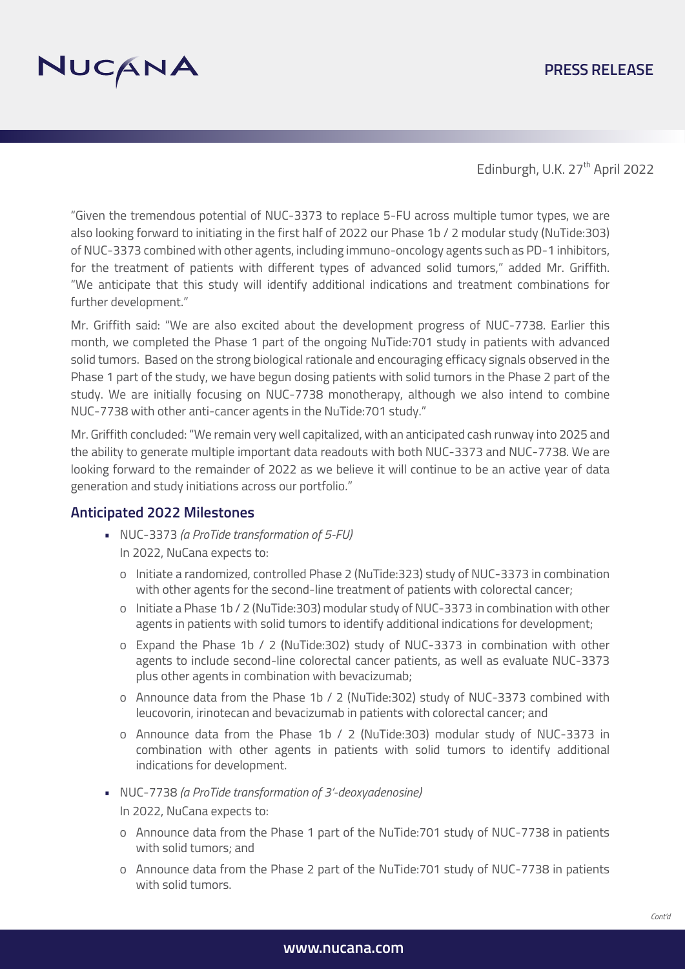# NUCANA

## **PRESS RELEASE**

Edinburgh, U.K. 27<sup>th</sup> April 2022

"Given the tremendous potential of NUC-3373 to replace 5-FU across multiple tumor types, we are also looking forward to initiating in the first half of 2022 our Phase 1b / 2 modular study (NuTide:303) of NUC-3373 combined with other agents, including immuno-oncology agents such as PD-1 inhibitors, for the treatment of patients with different types of advanced solid tumors," added Mr. Griffith. "We anticipate that this study will identify additional indications and treatment combinations for further development."

Mr. Griffith said: "We are also excited about the development progress of NUC-7738. Earlier this month, we completed the Phase 1 part of the ongoing NuTide:701 study in patients with advanced solid tumors. Based on the strong biological rationale and encouraging efficacy signals observed in the Phase 1 part of the study, we have begun dosing patients with solid tumors in the Phase 2 part of the study. We are initially focusing on NUC-7738 monotherapy, although we also intend to combine NUC-7738 with other anti-cancer agents in the NuTide:701 study."

Mr. Griffith concluded: "We remain very well capitalized, with an anticipated cash runway into 2025 and the ability to generate multiple important data readouts with both NUC-3373 and NUC-7738. We are looking forward to the remainder of 2022 as we believe it will continue to be an active year of data generation and study initiations across our portfolio."

#### **Anticipated 2022 Milestones**

- NUC-3373 *(a ProTide transformation of 5-FU)* In 2022, NuCana expects to:
	- o Initiate a randomized, controlled Phase 2 (NuTide:323) study of NUC-3373 in combination with other agents for the second-line treatment of patients with colorectal cancer;
	- o Initiate a Phase 1b / 2 (NuTide:303) modular study of NUC-3373 in combination with other agents in patients with solid tumors to identify additional indications for development;
	- o Expand the Phase 1b / 2 (NuTide:302) study of NUC-3373 in combination with other agents to include second-line colorectal cancer patients, as well as evaluate NUC-3373 plus other agents in combination with bevacizumab;
	- o Announce data from the Phase 1b / 2 (NuTide:302) study of NUC-3373 combined with leucovorin, irinotecan and bevacizumab in patients with colorectal cancer; and
	- o Announce data from the Phase 1b / 2 (NuTide:303) modular study of NUC-3373 in combination with other agents in patients with solid tumors to identify additional indications for development.
- NUC-7738 *(a ProTide transformation of 3'-deoxyadenosine)*

In 2022, NuCana expects to:

- o Announce data from the Phase 1 part of the NuTide:701 study of NUC-7738 in patients with solid tumors; and
- o Announce data from the Phase 2 part of the NuTide:701 study of NUC-7738 in patients with solid tumors.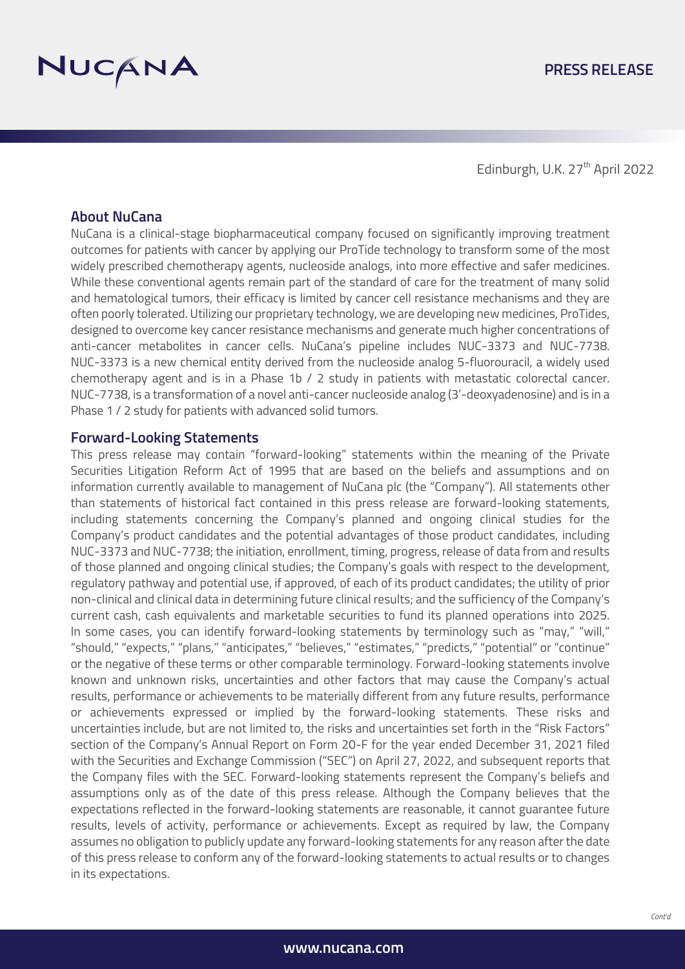

#### **About NuCana**

NuCana is a clinical-stage biopharmaceutical company focused on significantly improving treatment outcomes for patients with cancer by applying our ProTide technology to transform some of the most widely prescribed chemotherapy agents, nucleoside analogs, into more effective and safer medicines. While these conventional agents remain part of the standard of care for the treatment of many solid and hematological tumors, their efficacy is limited by cancer cell resistance mechanisms and they are often poorly tolerated. Utilizing our proprietary technology, we are developing new medicines, ProTides, designed to overcome key cancer resistance mechanisms and generate much higher concentrations of anti-cancer metabolites in cancer cells. NuCana's pipeline includes NUC-3373 and NUC-7738. NUC-3373 is a new chemical entity derived from the nucleoside analog 5-fluorouracil, a widely used chemotherapy agent and is in a Phase 1b / 2 study in patients with metastatic colorectal cancer. NUC-7738, is a transformation of a novel anti-cancer nucleoside analog (3'-deoxyadenosine) and is in a Phase 1 / 2 study for patients with advanced solid tumors.

#### **Forward-Looking Statements**

This press release may contain "forward-looking" statements within the meaning of the Private Securities Litigation Reform Act of 1995 that are based on the beliefs and assumptions and on information currently available to management of NuCana plc (the "Company"). All statements other than statements of historical fact contained in this press release are forward-looking statements, including statements concerning the Company's planned and ongoing clinical studies for the Company's product candidates and the potential advantages of those product candidates, including NUC-3373 and NUC-7738; the initiation, enrollment, timing, progress, release of data from and results of those planned and ongoing clinical studies; the Company's goals with respect to the development, regulatory pathway and potential use, if approved, of each of its product candidates; the utility of prior non-clinical and clinical data in determining future clinical results; and the sufficiency of the Company's current cash, cash equivalents and marketable securities to fund its planned operations into 2025. In some cases, you can identify forward-looking statements by terminology such as "may," "will," "should," "expects," "plans," "anticipates," "believes," "estimates," "predicts," "potential" or "continue" or the negative of these terms or other comparable terminology. Forward-looking statements involve known and unknown risks, uncertainties and other factors that may cause the Company's actual results, performance or achievements to be materially different from any future results, performance or achievements expressed or implied by the forward-looking statements. These risks and uncertainties include, but are not limited to, the risks and uncertainties set forth in the "Risk Factors" section of the Company's Annual Report on Form 20-F for the year ended December 31, 2021 filed with the Securities and Exchange Commission ("SEC") on April 27, 2022, and subsequent reports that the Company files with the SEC. Forward-looking statements represent the Company's beliefs and assumptions only as of the date of this press release. Although the Company believes that the expectations reflected in the forward-looking statements are reasonable, it cannot guarantee future results, levels of activity, performance or achievements. Except as required by law, the Company assumes no obligation to publicly update any forward-looking statements for any reason after the date of this press release to conform any of the forward-looking statements to actual results or to changes in its expectations.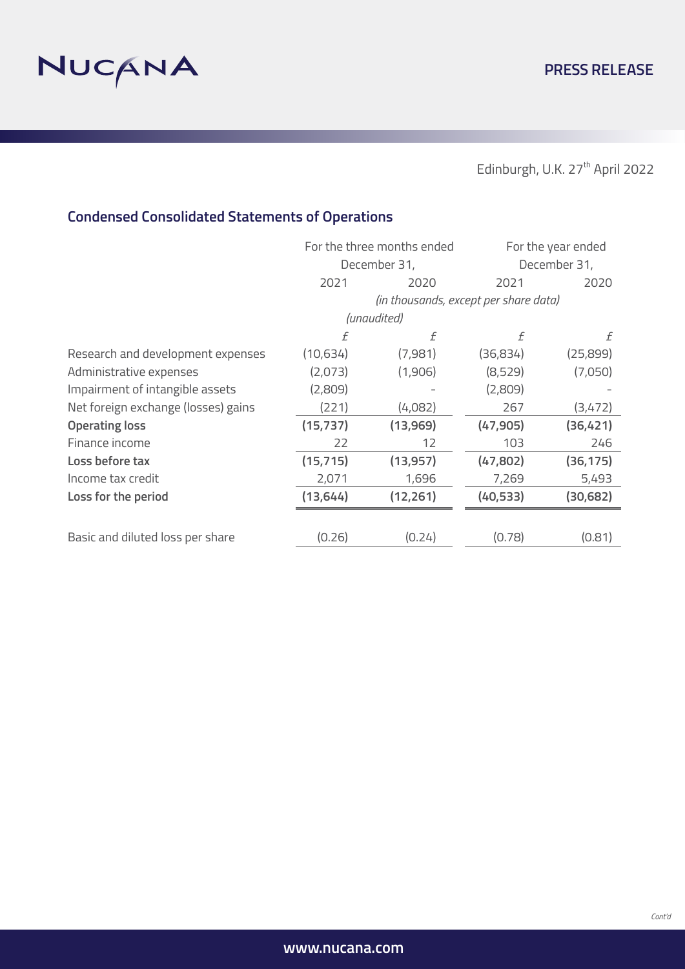

# **Condensed Consolidated Statements of Operations**

|                                     | For the three months ended<br>December 31, |                                       | For the year ended<br>December 31, |           |  |
|-------------------------------------|--------------------------------------------|---------------------------------------|------------------------------------|-----------|--|
|                                     |                                            |                                       |                                    |           |  |
|                                     | 2021                                       | 2020                                  | 2021                               | 2020      |  |
|                                     |                                            | (in thousands, except per share data) |                                    |           |  |
|                                     | (unaudited)                                |                                       |                                    |           |  |
|                                     | f                                          | f                                     | f                                  | £         |  |
| Research and development expenses   | (10,634)                                   | (7,981)                               | (36,834)                           | (25,899)  |  |
| Administrative expenses             | (2,073)                                    | (1,906)                               | (8,529)                            | (7,050)   |  |
| Impairment of intangible assets     | (2,809)                                    |                                       | (2,809)                            |           |  |
| Net foreign exchange (losses) gains | (221)                                      | (4,082)                               | 267                                | (3,472)   |  |
| <b>Operating loss</b>               | (15, 737)                                  | (13,969)                              | (47, 905)                          | (36,421)  |  |
| Finance income                      | 22                                         | 12                                    | 103                                | 246       |  |
| Loss before tax                     | (15, 715)                                  | (13, 957)                             | (47,802)                           | (36, 175) |  |
| Income tax credit                   | 2,071                                      | 1,696                                 | 7,269                              | 5,493     |  |
| Loss for the period                 | (13, 644)                                  | (12, 261)                             | (40, 533)                          | (30, 682) |  |
|                                     |                                            |                                       |                                    |           |  |
| Basic and diluted loss per share    | (0.26)                                     | (0.24)                                | (0.78)                             | (0.81)    |  |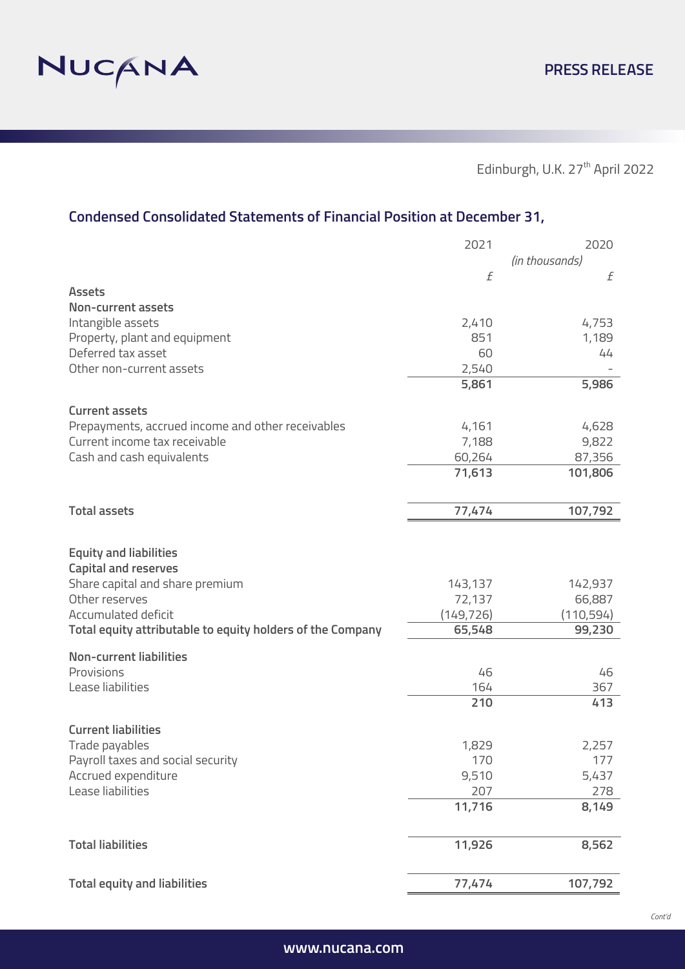

# **Condensed Consolidated Statements of Financial Position at December 31,**

|                                                            | 2021                 | 2020           |
|------------------------------------------------------------|----------------------|----------------|
|                                                            |                      | (in thousands) |
|                                                            | f                    | f              |
| <b>Assets</b>                                              |                      |                |
| <b>Non-current assets</b>                                  |                      |                |
| Intangible assets                                          | 2,410                | 4,753          |
| Property, plant and equipment                              | 851                  | 1,189          |
| Deferred tax asset                                         | 60                   | 44             |
| Other non-current assets                                   | 2,540                |                |
|                                                            | 5,861                | 5,986          |
| <b>Current assets</b>                                      |                      |                |
| Prepayments, accrued income and other receivables          | 4,161                | 4,628          |
| Current income tax receivable                              | 7,188                | 9,822          |
| Cash and cash equivalents                                  | 60,264               | 87,356         |
|                                                            | 71,613               | 101,806        |
|                                                            |                      |                |
|                                                            |                      |                |
| <b>Total assets</b>                                        | 77,474               | 107,792        |
|                                                            |                      |                |
| <b>Equity and liabilities</b>                              |                      |                |
| <b>Capital and reserves</b>                                |                      |                |
| Share capital and share premium                            | 143,137              | 142,937        |
| Other reserves                                             |                      | 66,887         |
| Accumulated deficit                                        | 72,137<br>(149, 726) | (110,594)      |
| Total equity attributable to equity holders of the Company | 65,548               | 99,230         |
|                                                            |                      |                |
| <b>Non-current liabilities</b>                             |                      |                |
| Provisions                                                 | 46                   | 46             |
| Lease liabilities                                          | 164                  | 367            |
|                                                            | 210                  | 413            |
|                                                            |                      |                |
| <b>Current liabilities</b>                                 |                      |                |
| Trade payables                                             | 1,829                | 2,257          |
| Payroll taxes and social security                          | 170                  | 177            |
| Accrued expenditure                                        | 9,510                | 5,437          |
| Lease liabilities                                          | 207                  | 278            |
|                                                            | 11,716               | 8,149          |
|                                                            |                      |                |
| <b>Total liabilities</b>                                   | 11,926               | 8,562          |
|                                                            |                      |                |
|                                                            |                      |                |
| <b>Total equity and liabilities</b>                        | 77,474               | 107,792        |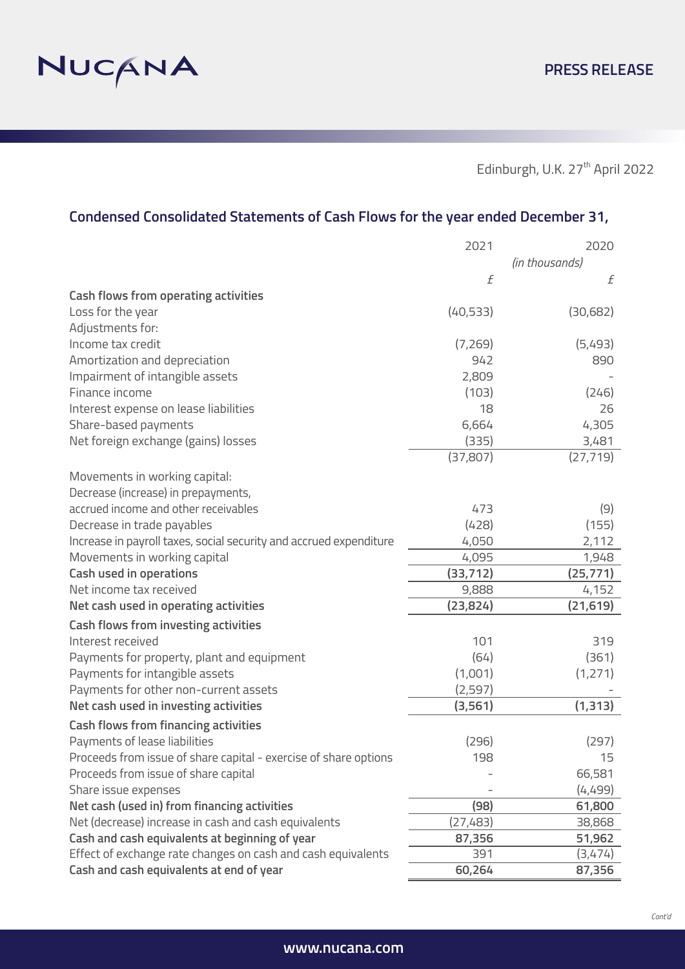

# **Condensed Consolidated Statements of Cash Flows for the year ended December 31,**

|                                                                    | 2021      | 2020           |
|--------------------------------------------------------------------|-----------|----------------|
|                                                                    |           | (in thousands) |
|                                                                    | f         | f              |
| <b>Cash flows from operating activities</b>                        |           |                |
| Loss for the year                                                  | (40, 533) | (30,682)       |
| Adjustments for:                                                   |           |                |
| Income tax credit                                                  | (7,269)   | (5,493)        |
| Amortization and depreciation                                      | 942       | 890            |
| Impairment of intangible assets                                    | 2,809     |                |
| Finance income                                                     | (103)     | (246)          |
| Interest expense on lease liabilities                              | 18        | 26             |
| Share-based payments                                               | 6,664     | 4,305          |
| Net foreign exchange (gains) losses                                | (335)     | 3,481          |
|                                                                    | (37, 807) | (27, 719)      |
| Movements in working capital:                                      |           |                |
| Decrease (increase) in prepayments,                                |           |                |
| accrued income and other receivables                               | 473       | (9)            |
| Decrease in trade payables                                         | (428)     | (155)          |
| Increase in payroll taxes, social security and accrued expenditure | 4,050     | 2,112          |
| Movements in working capital                                       | 4,095     | 1,948          |
| <b>Cash used in operations</b>                                     | (33, 712) | (25, 771)      |
| Net income tax received                                            | 9,888     | 4,152          |
| Net cash used in operating activities                              | (23, 824) | (21, 619)      |
| <b>Cash flows from investing activities</b>                        |           |                |
| Interest received                                                  | 101       | 319            |
| Payments for property, plant and equipment                         | (64)      | (361)          |
| Payments for intangible assets                                     | (1,001)   | (1,271)        |
| Payments for other non-current assets                              | (2, 597)  |                |
| Net cash used in investing activities                              | (3, 561)  | (1, 313)       |
| <b>Cash flows from financing activities</b>                        |           |                |
| Payments of lease liabilities                                      | (296)     | (297)          |
| Proceeds from issue of share capital - exercise of share options   | 198       | 15             |
| Proceeds from issue of share capital                               |           | 66,581         |
| Share issue expenses                                               |           | (4,499)        |
| Net cash (used in) from financing activities                       | (98)      | 61,800         |
| Net (decrease) increase in cash and cash equivalents               | (27, 483) | 38,868         |
| Cash and cash equivalents at beginning of year                     | 87,356    | 51,962         |
| Effect of exchange rate changes on cash and cash equivalents       | 391       | (3,474)        |
| Cash and cash equivalents at end of year                           | 60,264    | 87,356         |